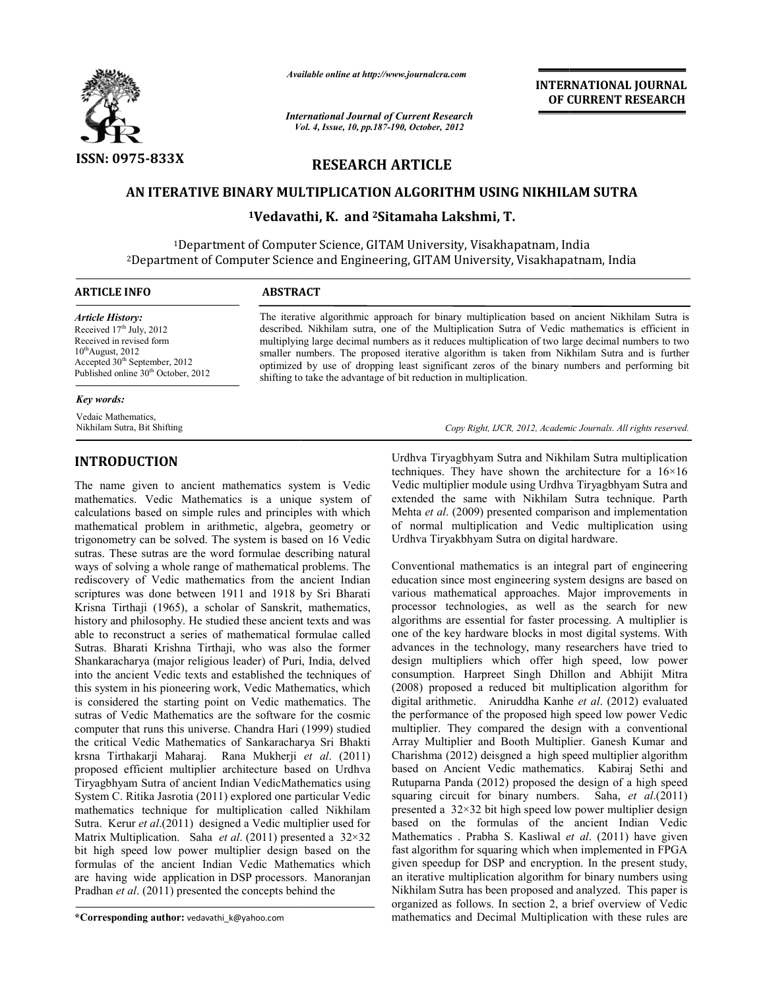

*Available online at http://www.journalcra.com*

*International Journal of Current Research Vol. ternational 4, Issue, 10, pp.187-190, October, <sup>2012</sup>*

**INTERNATIONAL JOURNAL OF CURRENT RESEARCH** 

# **RESEARCH ARTICLE**

## **AN ITERATIVE BINARY MULTIPLICATION ALGORITHM USING NIKHILAM SUTRA**

**1Vedavathi Vedavathi, K. and 2Sitamaha Lakshmi, T.** 

1Department of Computer Science, GITAM University, 2Department of Computer Science and Engineering, GITAM University, Visakhapatnam, India <sup>1</sup>Department of Computer Science, GITAM University, Visakhapatnam, India Department of Computer Science and Enginee

| ARTICLE INFO                                                                                                                                                                     | <b>ABSTRACT</b>                                                                                                                                                                                                                                                                                                                                                                                                                                                               |  |  |
|----------------------------------------------------------------------------------------------------------------------------------------------------------------------------------|-------------------------------------------------------------------------------------------------------------------------------------------------------------------------------------------------------------------------------------------------------------------------------------------------------------------------------------------------------------------------------------------------------------------------------------------------------------------------------|--|--|
| Article History:                                                                                                                                                                 | The iterative algorithmic approach for binary multiplication based on ancient Nikhilam Sutra is                                                                                                                                                                                                                                                                                                                                                                               |  |  |
| Received $17th$ July, 2012<br>Received in revised form<br>$10^{th}$ August, 2012<br>Accepted 30 <sup>th</sup> September, 2012<br>Published online 30 <sup>th</sup> October, 2012 | described. Nikhilam sutra, one of the Multiplication Sutra of Vedic mathematics is efficient in<br>multiplying large decimal numbers as it reduces multiplication of two large decimal numbers to two<br>smaller numbers. The proposed iterative algorithm is taken from Nikhilam Sutra and is further<br>optimized by use of dropping least significant zeros of the binary numbers and performing bit<br>shifting to take the advantage of bit reduction in multiplication. |  |  |
| Key words:                                                                                                                                                                       |                                                                                                                                                                                                                                                                                                                                                                                                                                                                               |  |  |

Copy Right, IJCR, 2012, Academic Journals. All rights reserved.

Vedaic Mathematics, Nikhilam Sutra, Bit Shifting

## **INTRODUCTION**

The name given to ancient mathematics system is Vedic mathematics. Vedic Mathematics is a unique system of calculations based on simple rules and principles with which mathematical problem in arithmetic, algebra, geometry or trigonometry can be solved. The system is based on 16 Vedic sutras. These sutras are the word formulae describing natural ways of solving a whole range of mathematical problems. The rediscovery of Vedic mathematics from the ancient Indian scriptures was done between 1911 and 1918 by Sri Bharati Krisna Tirthaji (1965), a scholar of Sanskrit, mathematics, history and philosophy. He studied these ancient texts and was able to reconstruct a series of mathematical formulae called Sutras. Bharati Krishna Tirthaji, who was also the former Shankaracharya (major religious leader) of Puri, India, delved into the ancient Vedic texts and established the techniques of this system in his pioneering work, Vedic Mathematics is considered the starting point on Vedic mathematics. The sutras of Vedic Mathematics are the software for the cosmic computer that runs this universe. Chandra Hari (1999) studied the critical Vedic Mathematics of Sankaracharya Sri Bhakti krsna Tirthakarji Maharaj. Rana Mukherji *et al*. (2011) proposed efficient multiplier architecture based on Urdhva Tiryagbhyam Sutra of ancient Indian VedicMathematics using System C. Ritika Jasrotia (2011) explored one particular Vedic mathematics technique for multiplication called Nikhilam Sutra. Kerur *et al*.(2011) designed a Vedic multiplier used for Matrix Multiplication. Saha *et al*. (2011) presented a 32×32 bit high speed low power multiplier design based on the formulas of the ancient Indian Vedic Mathematics which are having wide application in DSP processors. Manoranjan are having wide application in DSP processors. Mand<br>Pradhan *et al.* (2011) presented the concepts behind the name given to ancient mathematics system is Vedic<br>ematics. Vedic Mathematics is a unique system of<br>lations based on simple rules and principles with which<br>ematical problem in arithmetic, algebra, geometry or<br>ometry can be na Tirthaji (1965), a scholar of Sanskrit, mathematics, ry and philosophy. He studied these ancient texts and was to reconstruct a series of mathematical formulae called ss. Bharati Krishna Tirthaji, who was also the forme sutras of Vedic Mathematics are the software<br>computer that runs this universe. Chandra Hari<br>the critical Vedic Mathematics of Sankaracha proposed efficient multiplier architecture based on Urdhva<br>Tiryagbhyam Sutra of ancient Indian VedicMathematics using<br>System C. Ritika Jasrotia (2011) explored one particular Vedic<br>mathematics technique for multiplication

**\*Corresponding author:** vedavathi\_k@yahoo.com

Urdhva Tiryagbhyam Sutra and Nikhilam Sutra multiplication techniques. They have shown the architecture for a  $16\times16$ Vedic multiplier module using Urdhva Tiryagbhyam Sutra and extended the same with Nikhilam Sutra technique. Parth Mehta *et al*. (2009) presented comparison and implementation of normal multiplication and Vedic multiplication using Urdhva Tiryakbhyam Sutra on digital hardware. Urdhva Tiryagbhyam Sutra and Nikhilam Sutra multiplication<br>techniques. They have shown the architecture for a  $16\times16$ <br>Vedic multiplier module using Urdhva Tiryagbhyam Sutra and<br>extended the same with Nikhilam Sutra techn

Conventional mathematics is an integral part of engineering education since most engineering system designs are based various mathematical approaches. Major improvements in processor technologies, as well as the search for new algorithms are essential for faster processing. A multiplier is one of the key hardware blocks in most digital systems. With advances in the technology, many researchers have tried to design multipliers which offer high speed, low power various mathematical approaches. Major improvements in processor technologies, as well as the search for new algorithms are essential for faster processing. A multiplier is one of the key hardware blocks in most digital sy (2008) proposed a reduced bit multiplication algorithm for digital arithmetic. Aniruddha Kanhe *et al*. (2012) evaluated the performance of the proposed high speed low power Vedic multiplier. They compared the design with a conventional Array Multiplier and Booth Multiplier. Ganesh Kumar and Charishma (2012) deisgned a high speed multiplier algorithm based on Ancient Vedic mathematics. Kabiraj Sethi and Rutuparna Panda (2012) proposed the design of squaring circuit for binary numbers. Saha, *et al.*(2011) presented a 32×32 bit high speed low power multiplier design presented a 32×32 bit high speed low power multiplier design<br>based on the formulas of the ancient Indian Vedic Mathematics . Prabha S. Kasliwal *et al* . (2011) have given fast algorithm for squaring which when implemented in FPGA given speedup for DSP and encryption. In the present study, an iterative multiplication algorithm for binary numbers using Nikhilam Sutra has been proposed and analyzed. This paper is organized as follows. In section 2, a brief overview of Vedic mathematics and Decimal Multiplication with these rules are They compared the design with a conventional<br>iplier and Booth Multiplier. Ganesh Kumar and<br>(2012) deisgned a high speed multiplier algorithm<br>Ancient Vedic mathematics. Kabiraj Sethi and<br>Panda (2012) proposed the design of for squaring which when implemented in FPGA<br>for DSP and encryption. In the present study,<br>altiplication algorithm for binary numbers using **INTERNATIONAL JOURNAL**<br>
OF **CURRENT RESEARCH**<br>
Trom<br>
The Context Context Context Context Context Context Context Context Context<br>
123<br>
HM USING NIKHILAM SUTRA<br>
Ly, Visakhapatnam, India<br>
University, Visakhapatnam, India<br>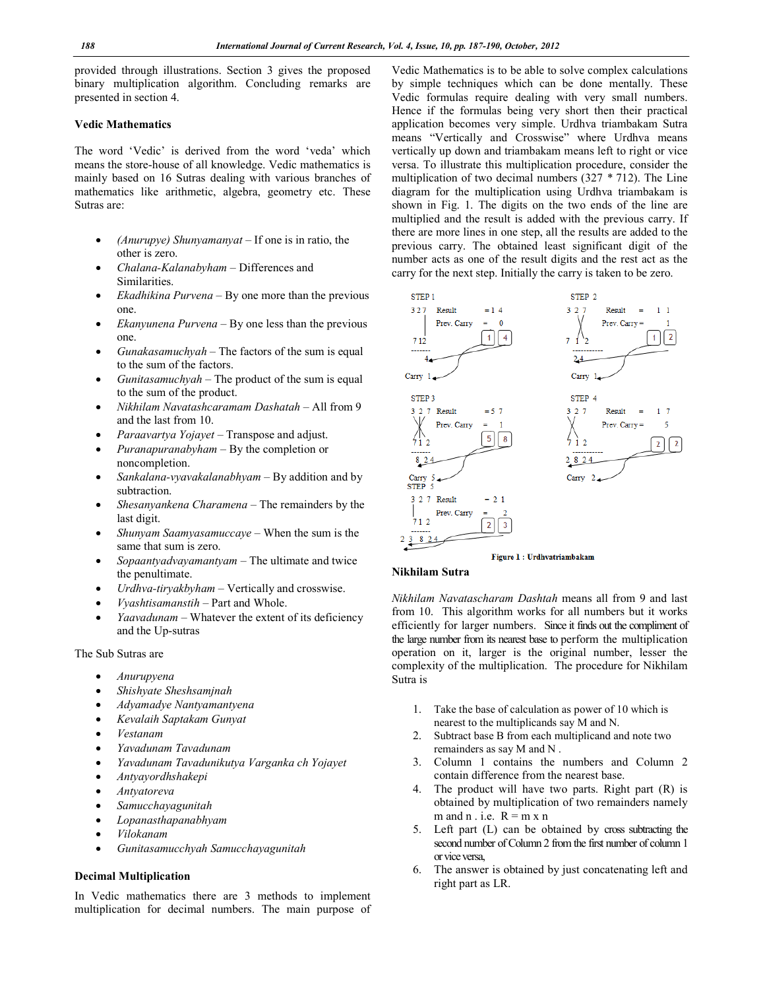provided through illustrations. Section 3 gives the proposed binary multiplication algorithm. Concluding remarks are presented in section 4.

#### **Vedic Mathematics**

The word 'Vedic' is derived from the word 'veda' which means the store-house of all knowledge. Vedic mathematics is mainly based on 16 Sutras dealing with various branches of mathematics like arithmetic, algebra, geometry etc. These Sutras are:

- *(Anurupye) Shunyamanyat*  If one is in ratio, the other is zero.
- *Chalana-Kalanabyham*  Differences and Similarities.
- *Ekadhikina Purvena*  By one more than the previous one.
- *Ekanyunena Purvena*  By one less than the previous one.
- *Gunakasamuchyah*  The factors of the sum is equal to the sum of the factors.
- *Gunitasamuchyah*  The product of the sum is equal to the sum of the product.
- *Nikhilam Navatashcaramam Dashatah*  All from 9 and the last from 10.
- *Paraavartya Yojayet*  Transpose and adjust.
- *Puranapuranabyham* By the completion or noncompletion.
- *Sankalana-vyavakalanabhyam*  By addition and by subtraction.
- *Shesanyankena Charamena*  The remainders by the last digit.
- *Shunyam Saamyasamuccaye*  When the sum is the same that sum is zero.
- *Sopaantyadvayamantyam*  The ultimate and twice the penultimate.
- *Urdhva-tiryakbyham* Vertically and crosswise.
- *Vyashtisamanstih*  Part and Whole.
- *Yaavadunam*  Whatever the extent of its deficiency and the Up-sutras

### The Sub Sutras are

- *Anurupyena*
- *Shishyate Sheshsamjnah*
- *Adyamadye Nantyamantyena*
- *Kevalaih Saptakam Gunyat*
- *Vestanam*
- *Yavadunam Tavadunam*
- *Yavadunam Tavadunikutya Varganka ch Yojayet*
- *Antyayordhshakepi*
- *Antyatoreva*
- *Samucchayagunitah*
- *Lopanasthapanabhyam*
- *Vilokanam*
- *Gunitasamucchyah Samucchayagunitah*

## **Decimal Multiplication**

In Vedic mathematics there are 3 methods to implement multiplication for decimal numbers. The main purpose of

Vedic Mathematics is to be able to solve complex calculations by simple techniques which can be done mentally. These Vedic formulas require dealing with very small numbers. Hence if the formulas being very short then their practical application becomes very simple. Urdhva triambakam Sutra means "Vertically and Crosswise" where Urdhva means vertically up down and triambakam means left to right or vice versa. To illustrate this multiplication procedure, consider the multiplication of two decimal numbers (327 *\** 712). The Line diagram for the multiplication using Urdhva triambakam is shown in Fig. 1. The digits on the two ends of the line are multiplied and the result is added with the previous carry. If there are more lines in one step, all the results are added to the previous carry. The obtained least significant digit of the number acts as one of the result digits and the rest act as the carry for the next step. Initially the carry is taken to be zero.



#### **Nikhilam Sutra**

*Nikhilam Navatascharam Dashtah* means all from 9 and last from 10. This algorithm works for all numbers but it works efficiently for larger numbers. Since it finds out the compliment of the large number from its nearest base to perform the multiplication operation on it, larger is the original number, lesser the complexity of the multiplication. The procedure for Nikhilam Sutra is

- 1. Take the base of calculation as power of 10 which is nearest to the multiplicands say M and N.
- 2. Subtract base B from each multiplicand and note two remainders as say M and N .
- 3. Column 1 contains the numbers and Column 2 contain difference from the nearest base.
- 4. The product will have two parts. Right part (R) is obtained by multiplication of two remainders namely m and n . i.e.  $R = m x n$
- 5. Left part (L) can be obtained by cross subtracting the second number of Column 2 from the first number of column 1 or vice versa,
- 6. The answer is obtained by just concatenating left and right part as LR.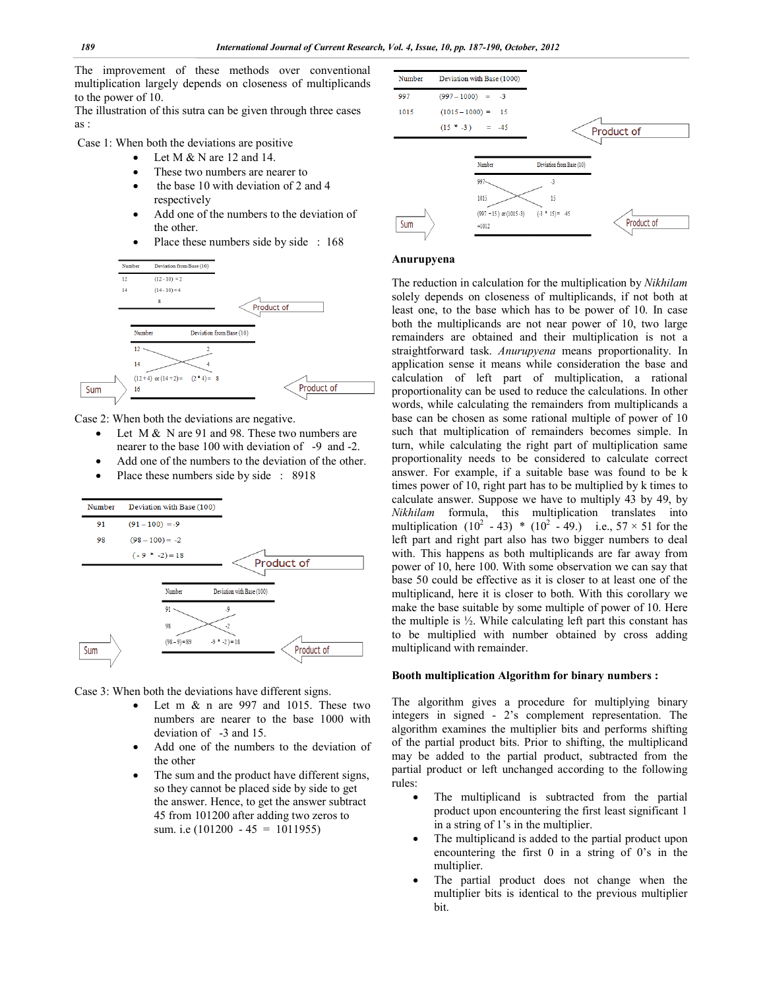The improvement of these methods over conventional multiplication largely depends on closeness of multiplicands to the power of 10.

The illustration of this sutra can be given through three cases as :

Case 1: When both the deviations are positive

- Let M & N are 12 and 14.
- These two numbers are nearer to
- the base 10 with deviation of 2 and 4 respectively
- Add one of the numbers to the deviation of the other.
- Place these numbers side by side : 168



Case 2: When both the deviations are negative.

- Let M & N are 91 and 98. These two numbers are nearer to the base 100 with deviation of -9 and -2.
- Add one of the numbers to the deviation of the other.
- Place these numbers side by side : 8918



Case 3: When both the deviations have different signs.

- Let m & n are 997 and 1015. These two numbers are nearer to the base 1000 with deviation of -3 and 15.
- Add one of the numbers to the deviation of the other
- The sum and the product have different signs, so they cannot be placed side by side to get the answer. Hence, to get the answer subtract 45 from 101200 after adding two zeros to sum. i.e  $(101200 - 45 = 1011955)$



#### **Anurupyena**

The reduction in calculation for the multiplication by *Nikhilam*  solely depends on closeness of multiplicands, if not both at least one, to the base which has to be power of 10. In case both the multiplicands are not near power of 10, two large remainders are obtained and their multiplication is not a straightforward task. *Anurupyena* means proportionality. In application sense it means while consideration the base and calculation of left part of multiplication, a rational proportionality can be used to reduce the calculations. In other words, while calculating the remainders from multiplicands a base can be chosen as some rational multiple of power of 10 such that multiplication of remainders becomes simple. In turn, while calculating the right part of multiplication same proportionality needs to be considered to calculate correct answer. For example, if a suitable base was found to be k times power of 10, right part has to be multiplied by k times to calculate answer. Suppose we have to multiply 43 by 49, by *Nikhilam* formula, this multiplication translates into multiplication  $(10^2 - 43)$  \*  $(10^2 - 49)$  i.e.,  $57 \times 51$  for the left part and right part also has two bigger numbers to deal with. This happens as both multiplicands are far away from power of 10, here 100. With some observation we can say that base 50 could be effective as it is closer to at least one of the multiplicand, here it is closer to both. With this corollary we make the base suitable by some multiple of power of 10. Here the multiple is ½. While calculating left part this constant has to be multiplied with number obtained by cross adding multiplicand with remainder.

#### **Booth multiplication Algorithm for binary numbers :**

The algorithm gives a procedure for multiplying binary integers in signed - 2's complement representation. The algorithm examines the multiplier bits and performs shifting of the partial product bits. Prior to shifting, the multiplicand may be added to the partial product, subtracted from the partial product or left unchanged according to the following rules:

- The multiplicand is subtracted from the partial product upon encountering the first least significant 1 in a string of 1's in the multiplier.
- The multiplicand is added to the partial product upon encountering the first 0 in a string of 0's in the multiplier.
- The partial product does not change when the multiplier bits is identical to the previous multiplier bit.